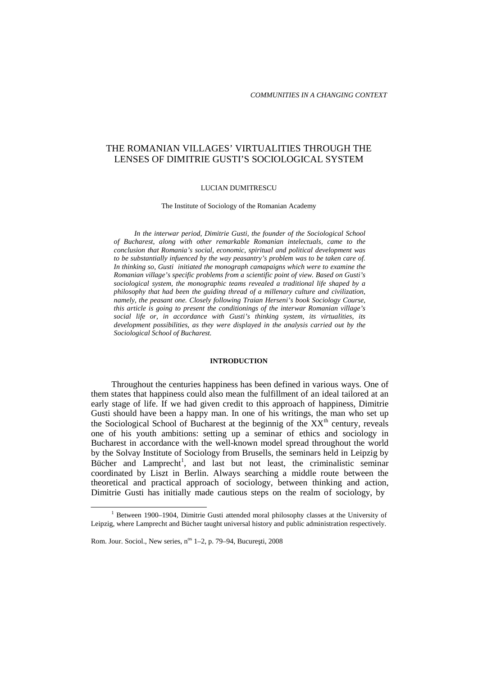# THE ROMANIAN VILLAGES' VIRTUALITIES THROUGH THE LENSES OF DIMITRIE GUSTI'S SOCIOLOGICAL SYSTEM

#### LUCIAN DUMITRESCU

The Institute of Sociology of the Romanian Academy

*In the interwar period, Dimitrie Gusti, the founder of the Sociological School of Bucharest, along with other remarkable Romanian intelectuals, came to the conclusion that Romania's social, economic, spiritual and political development was to be substantially infuenced by the way peasantry's problem was to be taken care of. In thinking so, Gusti initiated the monograph camapaigns which were to examine the Romanian village's specific problems from a scientific point of view. Based on Gusti's sociological system, the monographic teams revealed a traditional life shaped by a philosophy that had been the guiding thread of a millenary culture and civilization, namely, the peasant one. Closely following Traian Herseni's book Sociology Course, this article is going to present the conditionings of the interwar Romanian village's social life or, in accordance with Gusti's thinking system, its virtualities, its development possibilities, as they were displayed in the analysis carried out by the Sociological School of Bucharest.*

#### **INTRODUCTION**

Throughout the centuries happiness has been defined in various ways. One of them states that happiness could also mean the fulfillment of an ideal tailored at an early stage of life. If we had given credit to this approach of happiness, Dimitrie Gusti should have been a happy man. In one of his writings, the man who set up the Sociological School of Bucharest at the beginnig of the XX<sup>th</sup> century, reveals one of his youth ambitions: setting up a seminar of ethics and sociology in Bucharest in accordance with the well-known model spread throughout the world by the Solvay Institute of Sociology from Brusells, the seminars held in Leipzig by Bücher and Lamprecht<sup>1</sup>, and last but not least, the criminalistic seminar coordinated by Liszt in Berlin. Always searching a middle route between the theoretical and practical approach of sociology, between thinking and action, Dimitrie Gusti has initially made cautious steps on the realm of sociology, by

<sup>&</sup>lt;sup>1</sup> Between 1900–1904, Dimitrie Gusti attended moral philosophy classes at the University of Leipzig, where Lamprecht and Bücher taught universal history and public administration respectively.

Rom. Jour. Sociol., New series, n<sup>os</sup> 1-2, p. 79-94, Bucure ti, 2008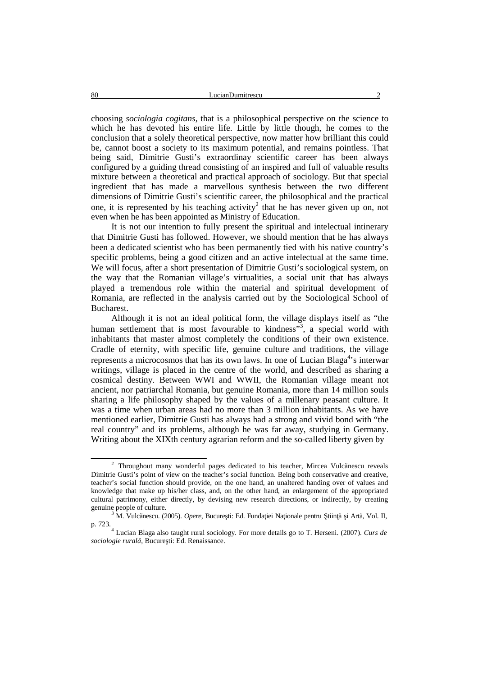choosing *sociologia cogitans*, that is a philosophical perspective on the science to which he has devoted his entire life. Little by little though, he comes to the conclusion that a solely theoretical perspective, now matter how brilliant this could be, cannot boost a society to its maximum potential, and remains pointless. That being said, Dimitrie Gusti's extraordinay scientific career has been always configured by a guiding thread consisting of an inspired and full of valuable results mixture between a theoretical and practical approach of sociology. But that special ingredient that has made a marvellous synthesis between the two different dimensions of Dimitrie Gusti's scientific career, the philosophical and the practical one, it is represented by his teaching activity<sup>2</sup> that he has never given up on, not even when he has been appointed as Ministry of Education.

It is not our intention to fully present the spiritual and intelectual intinerary that Dimitrie Gusti has followed. However, we should mention that he has always been a dedicated scientist who has been permanently tied with his native country's specific problems, being a good citizen and an active intelectual at the same time. We will focus, after a short presentation of Dimitrie Gusti's sociological system, on the way that the Romanian village's virtualities, a social unit that has always played a tremendous role within the material and spiritual development of Romania, are reflected in the analysis carried out by the Sociological School of Bucharest.

Although it is not an ideal political form, the village displays itself as "the human settlement that is most favourable to kindness<sup>33</sup>, a special world with inhabitants that master almost completely the conditions of their own existence. Cradle of eternity, with specific life, genuine culture and traditions, the village represents a microcosmos that has its own laws. In one of Lucian Blaga <sup>4</sup>'s interwar writings, village is placed in the centre of the world, and described as sharing a cosmical destiny. Between WWI and WWII, the Romanian village meant not ancient, nor patriarchal Romania, but genuine Romania, more than 14 million souls sharing a life philosophy shaped by the values of a millenary peasant culture. It was a time when urban areas had no more than 3 million inhabitants. As we have mentioned earlier, Dimitrie Gusti has always had a strong and vivid bond with "the real country" and its problems, although he was far away, studying in Germany. Writing about the XIXth century agrarian reform and the so-called liberty given by

<sup>2</sup> Throughout many wonderful pages dedicated to his teacher, Mircea Vulc nescu reveals Dimitrie Gusti's point of view on the teacher's social function. Being both conservative and creative, teacher's social function should provide, on the one hand, an unaltered handing over of values and knowledge that make up his/her class, and, on the other hand, an enlargement of the appropriated cultural patrimony, either directly, by devising new research directions, or indirectly, by creating

genuine people of culture.<br><sup>3</sup> M. Vulc nescu. (2005). *Opere*, Bucure ti: Ed. Funda iei Na ionale pentru tiin i Art, Vol. II, p. 723.

p. 723.<sup>4</sup> Lucian Blaga also taught rural sociology. For more details go to T. Herseni. (2007). *Curs de* sociologie rural , Bucure ti: Ed. Renaissance.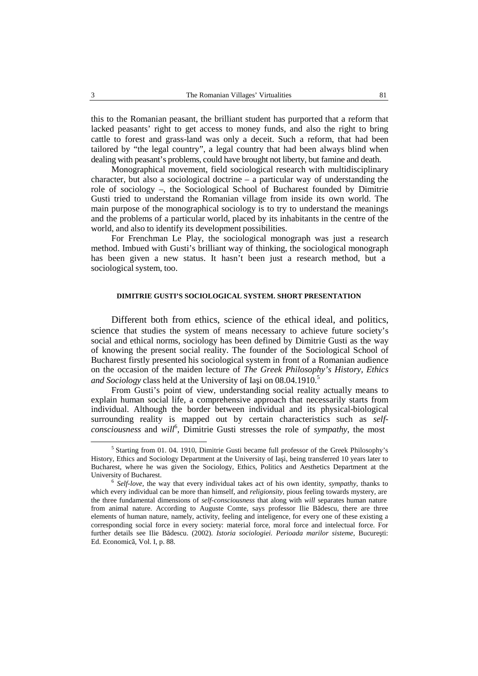this to the Romanian peasant, the brilliant student has purported that a reform that lacked peasants' right to get access to money funds, and also the right to bring cattle to forest and grass-land was only a deceit. Such a reform, that had been tailored by "the legal country", a legal country that had been always blind when dealing with peasant's problems, could have brought not liberty, but famine and death.

Monographical movement, field sociological research with multidisciplinary character, but also a sociological doctrine  $-$  a particular way of understanding the role of sociology –, the Sociological School of Bucharest founded by Dimitrie Gusti tried to understand the Romanian village from inside its own world. The main purpose of the monographical sociology is to try to understand the meanings and the problems of a particular world, placed by its inhabitants in the centre of the world, and also to identify its development possibilities.

For Frenchman Le Play, the sociological monograph was just a research method. Imbued with Gusti's brilliant way of thinking, the sociological monograph has been given a new status. It hasn't been just a research method, but a sociological system, too.

# **DIMITRIE GUSTI'S SOCIOLOGICAL SYSTEM. SHORT PRESENTATION**

Different both from ethics, science of the ethical ideal, and politics, science that studies the system of means necessary to achieve future society's social and ethical norms, sociology has been defined by Dimitrie Gusti as the way of knowing the present social reality. The founder of the Sociological School of Bucharest firstly presented his sociological system in front of a Romanian audience on the occasion of the maiden lecture of *The Greek Philosophy's History, Ethics and Sociology* class held at the University of Ia i on 08.04.1910.<sup>5</sup>

From Gusti's point of view, understanding social reality actually means to explain human social life, a comprehensive approach that necessarily starts from individual. Although the border between individual and its physical-biological surrounding reality is mapped out by certain characteristics such as *self consciousness* and *will*<sup>6</sup> , Dimitrie Gusti stresses the role of *sympathy*, the most

<sup>&</sup>lt;sup>5</sup> Starting from 01. 04. 1910, Dimitrie Gusti became full professor of the Greek Philosophy's History, Ethics and Sociology Department at the University of Ia i, being transferred 10 years later to Bucharest, where he was given the Sociology, Ethics, Politics and Aesthetics Department at the University of Bucharest. <sup>6</sup> *Self-love*, the way that every individual takes act of his own identity, *sympathy*, thanks to

which every individual can be more than himself, and *religionsity*, pious feeling towards mystery, are the three fundamental dimensions of *self-consciousness* that along with *will* separates human nature from animal nature. According to Auguste Comte, says professor Ilie B descu, there are three elements of human nature, namely, activity, feeling and inteligence, for every one of these existing a corresponding social force in every society: material force, moral force and intelectual force. For further details see Ilie B descu. (2002). *Istoria sociologiei. Perioada marilor sisteme*, Bucure ti: Ed. Economic, Vol. I, p. 88.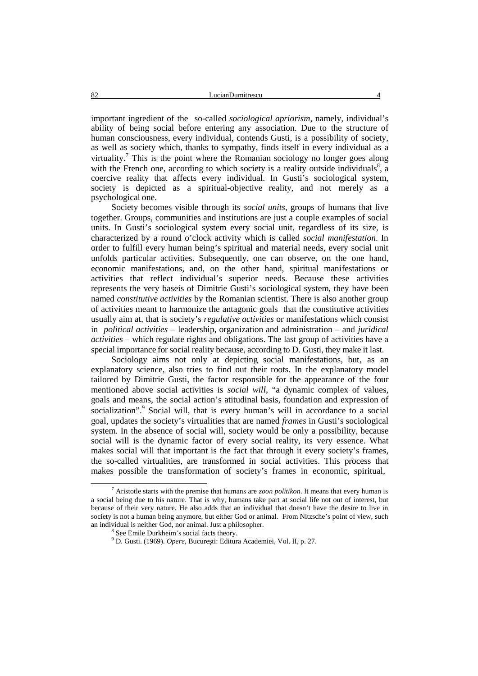important ingredient of the so-called *sociological apriorism*, namely, individual's ability of being social before entering any association. Due to the structure of human consciousness, every individual, contends Gusti, is a possibility of society, as well as society which, thanks to sympathy, finds itself in every individual as a virtuality.<sup>7</sup> This is the point where the Romanian sociology no longer goes along with the French one, according to which society is a reality outside individuals<sup>8</sup>, a coercive reality that affects every individual. In Gusti's sociological system, society is depicted as a spiritual-objective reality, and not merely as a psychological one.

Society becomes visible through its *social units*, groups of humans that live together. Groups, communities and institutions are just a couple examples of social units. In Gusti's sociological system every social unit, regardless of its size, is characterized by a round o'clock activity which is called *social manifestation*. In order to fulfill every human being's spiritual and material needs, every social unit unfolds particular activities. Subsequently, one can observe, on the one hand, economic manifestations, and, on the other hand, spiritual manifestations or activities that reflect individual's superior needs. Because these activities represents the very baseis of Dimitrie Gusti's sociological system, they have been named *constitutive activities* by the Romanian scientist. There is also another group of activities meant to harmonize the antagonic goals that the constitutive activities usually aim at, that is society's *regulative activities* or manifestations which consist in *political activities* – leadership, organization and administration – and *juridical activities* – which regulate rights and obligations. The last group of activities have a special importance for social reality because, according to D. Gusti, they make it last.

Sociology aims not only at depicting social manifestations, but, as an explanatory science, also tries to find out their roots. In the explanatory model tailored by Dimitrie Gusti, the factor responsible for the appearance of the four mentioned above social activities is *social will*, "a dynamic complex of values, goals and means, the social action's atitudinal basis, foundation and expression of socialization".<sup>9</sup> Social will, that is every human's will in accordance to a social goal, updates the society's virtualities that are named *frames* in Gusti's sociological system. In the absence of social will, society would be only a possibility, because social will is the dynamic factor of every social reality, its very essence. What makes social will that important is the fact that through it every society's frames, the so-called virtualities, are transformed in social activities. This process that makes possible the transformation of society's frames in economic, spiritual,

<sup>7</sup> Aristotle starts with the premise that humans are *zoon politikon*. It means that every human is a social being due to his nature. That is why, humans take part at social life not out of interest, but because of their very nature. He also adds that an individual that doesn't have the desire to live in society is not a human being anymore, but either God or animal. From Nitzsche's point of view, such an individual is neither God, nor animal. Just a philosopher.

<sup>8</sup> See Emile Durkheim's social facts theory. <sup>9</sup> D. Gusti. (1969). *Opere*, Bucure ti: Editura Academiei, Vol. II, p. 27.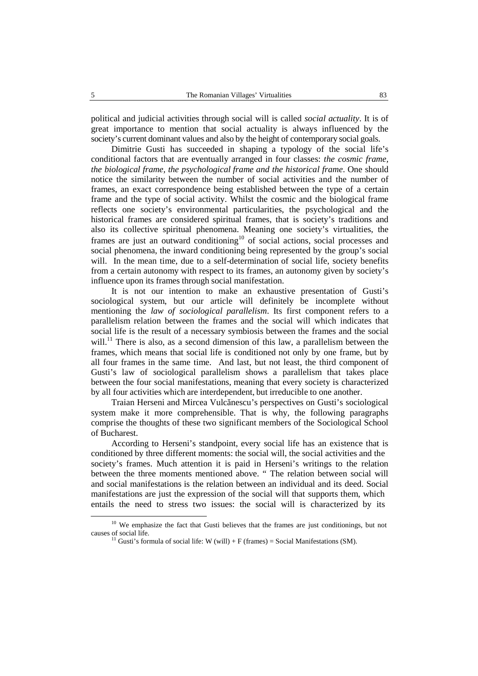political and judicial activities through social will is called *social actuality*. It is of great importance to mention that social actuality is always influenced by the society's current dominant values and also by the height of contemporary social goals.

Dimitrie Gusti has succeeded in shaping a typology of the social life's conditional factors that are eventually arranged in four classes: *the cosmic frame, the biological frame, the psychological frame and the historical frame*. One should notice the similarity between the number of social activities and the number of frames, an exact correspondence being established between the type of a certain frame and the type of social activity. Whilst the cosmic and the biological frame reflects one society's environmental particularities, the psychological and the historical frames are considered spiritual frames, that is society's traditions and also its collective spiritual phenomena. Meaning one society's virtualities, the frames are just an outward conditioning<sup>10</sup> of social actions, social processes and social phenomena, the inward conditioning being represented by the group's social will. In the mean time, due to a self-determination of social life, society benefits from a certain autonomy with respect to its frames, an autonomy given by society's influence upon its frames through social manifestation.

It is not our intention to make an exhaustive presentation of Gusti's sociological system, but our article will definitely be incomplete without mentioning the *law of sociological parallelism*. Its first component refers to a parallelism relation between the frames and the social will which indicates that social life is the result of a necessary symbiosis between the frames and the social will.<sup>11</sup> There is also, as a second dimension of this law, a parallelism between the frames, which means that social life is conditioned notonly by one frame, but by all four frames in the same time. And last, but not least, the third component of Gusti's law of sociological parallelism shows a parallelism that takes place between the four social manifestations, meaning that every society is characterized by all four activities which are interdependent, but irreducible to one another.

Traian Herseni and Mircea Vulc nescu's perspectives on Gusti's sociological system make it more comprehensible. That is why, the following paragraphs comprise the thoughts of these two significant members of the Sociological School of Bucharest.

According to Herseni's standpoint, every social life has an existence that is conditioned by three different moments: the social will, the social activities and the society's frames. Much attention it is paid in Herseni's writings to the relation between the three moments mentioned above. " The relation between social will and social manifestations is the relation between an individual and its deed. Social manifestations are just the expression of the social will that supports them, which entails the need to stress two issues: the social will is characterized by its

<sup>&</sup>lt;sup>10</sup> We emphasize the fact that Gusti believes that the frames are just conditionings, but not causes of social life.<br><sup>11</sup> Gusti's formula of social life: W (will) + F (frames) = Social Manifestations (SM).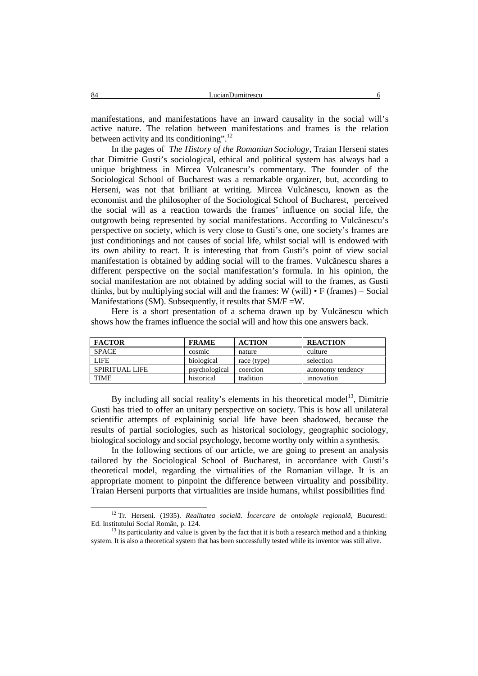manifestations, and manifestations have an inward causality in the social will's active nature. The relation between manifestations and frames is the relation between activity and its conditioning".<sup>12</sup>

In the pages of *The History of the Romanian Sociology*, Traian Herseni states that Dimitrie Gusti's sociological, ethical and political system has always had a unique brightness in Mircea Vulcanescu's commentary. The founder of the Sociological School of Bucharest was a remarkable organizer, but, according to Herseni, was not that brilliant at writing. Mircea Vulc nescu, known as the economist and the philosopher of the Sociological School of Bucharest, perceived the social will as a reaction towards the frames' influence on social life, the outgrowth being represented by social manifestations. According to Vulcănescu's perspective on society, which is very close to Gusti's one, one society's frames are just conditionings and not causes of social life, whilst social will is endowed with its own ability to react. It is interesting that from Gusti's point of view social manifestation is obtained by adding social will to the frames. Vulc nescu shares a different perspective on the social manifestation's formula. In his opinion, the social manifestation are not obtained by adding social will to the frames, as Gusti thinks, but by multiplying social will and the frames:  $W$  (will)  $\cdot$  F (frames) = Social Manifestations (SM). Subsequently, it results that SM/F =W.

Here is a short presentation of a schema drawn up by Vulc nescu which shows how the frames influence the social will and how this one answers back.

| <b>FACTOR</b>  | <b>FRAME</b>  | <b>ACTION</b> | <b>REACTION</b>   |
|----------------|---------------|---------------|-------------------|
| <b>SPACE</b>   | cosmic        | nature        | culture           |
| <b>LIFE</b>    | biological    | race (type)   | selection         |
| SPIRITUAL LIFE | psychological | coercion      | autonomy tendency |
| TIME           | historical    | tradition     | innovation        |

By including all social reality's elements in his theoretical model $13$ , Dimitrie Gusti has tried to offer an unitary perspective on society. This is how all unilateral scientific attempts of explaininig social life have been shadowed, because the results of partial sociologies, such as historical sociology, geographic sociology, biological sociology and social psychology, become worthy only within a synthesis.

In the following sections of our article, we are going to present an analysis tailored by the Sociological School of Bucharest, in accordance with Gusti's theoretical model, regarding the virtualities of the Romanian village. It is an appropriate moment to pinpoint the difference between virtuality and possibility. Traian Herseni purports that virtualities are inside humans, whilst possibilities find

<sup>&</sup>lt;sup>12</sup> Tr. Herseni. (1935). *Realitatea social* . *Încercare de ontologie regional* , Bucuresti: Ed. Institutului Social Român. p. 124.

<sup>&</sup>lt;sup>13</sup> Its particularity and value is given by the fact that it is both a research method and a thinking system. It is also a theoretical system that has been successfully tested while its inventor was still alive.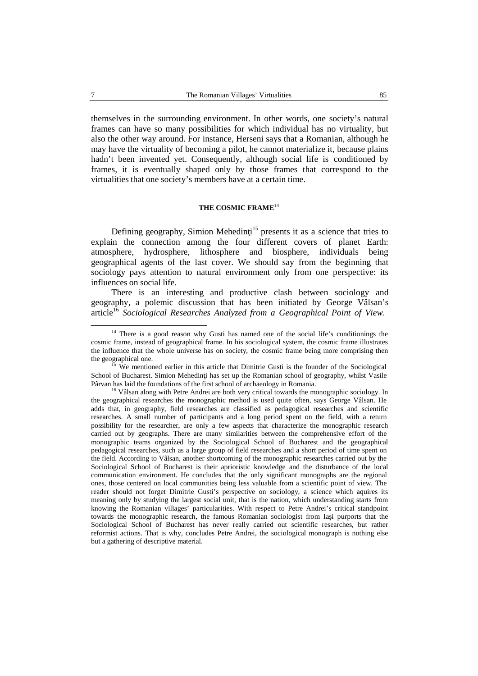themselves in the surrounding environment. In other words, one society's natural frames can have so many possibilities for which individual has no virtuality, but also the other way around. For instance, Herseni says that a Romanian, although he may have the virtuality of becoming a pilot, he cannot materialize it, because plains hadn't been invented yet. Consequently, although social life is conditioned by frames, it is eventually shaped only by those frames that correspond to the virtualities that one society's members have at a certain time.

### **THE COSMIC FRAME** 14

Defining geography, Simion Mehedin $i^{15}$  presents it as a science that tries to explain the connection among the four different covers of planet Earth: atmosphere, hydrosphere, lithosphere and biosphere, individuals being geographical agents of the last cover. We should say from the beginning that sociology pays attention to natural environment only from one perspective: its influences on social life.

There is an interesting and productive clash between sociology and geography, a polemic discussion that has been initiated by George Vâlsan's article <sup>16</sup> *Sociological Researches Analyzed from a Geographical Point of View*.

<sup>&</sup>lt;sup>14</sup> There is a good reason why Gusti has named one of the social life's conditionings the cosmic frame, instead of geographical frame. In his sociological system, the cosmic frame illustrates the influence that the whole universe has on society, the cosmic frame being more comprising then the geographical one.

<sup>&</sup>lt;sup>15</sup> We mentioned earlier in this article that Dimitrie Gusti is the founder of the Sociological School of Bucharest. Simion Mehedin i has set up the Romanian school of geography, whilst Vasile Pârvan has laid the foundations of the first school of archaeology in Romania.

<sup>&</sup>lt;sup>16</sup> Vâlsan along with Petre Andrei are both very critical towards the monographic sociology. In the geographical researches the monographic method is used quite often, says George Vâlsan. He adds that, in geography, field researches are classified as pedagogical researches and scientific researches. A small number of participants and a long period spent on the field, with a return possibility for the researcher, are only a few aspects that characterize the monographic research carried out by geographs. There are many similarities between the comprehensive effort of the monographic teams organized by the Sociological School of Bucharest and the geographical pedagogical researches, such as a large group of field researches and a short period of time spent on the field. According to Vâlsan, another shortcoming of the monographic researches carried out by the Sociological School of Bucharest is their aprioristic knowledge and the disturbance of the local communication environment. He concludes that the only significant monographs are the regional ones, those centered on local communities being less valuable from a scientific point of view. The reader should not forget Dimitrie Gusti's perspective on sociology, a science which aquires its meaning only by studying the largest social unit, that is the nation, which understanding starts from knowing the Romanian villages' particularities. With respect to Petre Andrei's critical standpoint towards the monographic research, the famous Romanian sociologist from Ia i purports that the Sociological School of Bucharest has never really carried out scientific researches, but rather reformist actions. That is why, concludes Petre Andrei, the sociological monograph is nothing else but a gathering of descriptive material.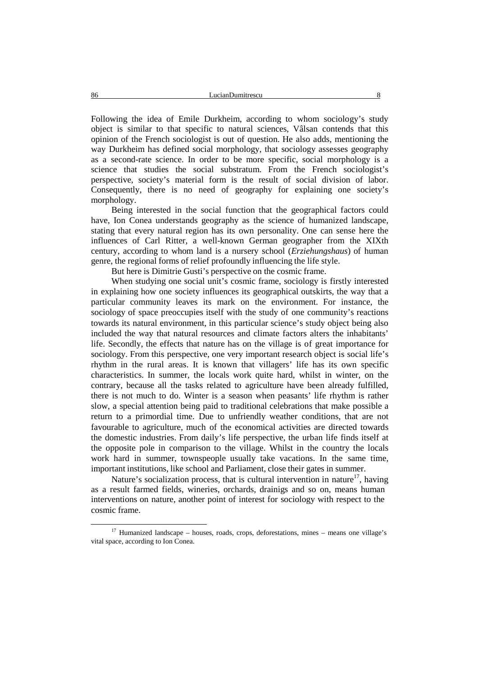Following the idea of Emile Durkheim, according to whom sociology's study object is similar to that specific to natural sciences, Vâlsan contends that this opinion of the French sociologist is out of question. He also adds, mentioning the way Durkheim has defined social morphology, that sociology assesses geography as a second-rate science. In order to be more specific, social morphology is a science that studies the social substratum. From the French sociologist's perspective, society's material form is the result of social division of labor. Consequently, there is no need of geography for explaining one society's morphology.

Being interested in the social function that the geographical factors could have, Ion Conea understands geography as the science of humanized landscape, stating that every natural region has its own personality. One can sense here the influences of Carl Ritter, a well-known German geographer from the XIXth century, according to whom landis a nursery school (*Erziehungshaus*) of human genre, the regional forms of relief profoundly influencing the life style.

But here is Dimitrie Gusti's perspective on the cosmic frame.

When studying one social unit's cosmic frame, sociology is firstly interested in explaining how one society influences its geographical outskirts, the way that a particular community leaves its mark on the environment. For instance, the sociology of space preoccupies itself with the study of one community's reactions towards its natural environment, in this particular science's study object being also included the way that natural resources and climate factors alters the inhabitants' life. Secondly, the effects that nature has on the village is of great importance for sociology. From this perspective, one very important research object is social life's rhythm in the rural areas. It is known that villagers' life has its own specific characteristics. In summer, the locals work quite hard, whilst in winter, on the contrary, because all the tasks related to agriculture have been already fulfilled, there is not much to do. Winter is a season when peasants' life rhythm is rather slow, a special attention being paid to traditional celebrations that make possible a return to a primordial time. Due to unfriendly weather conditions, that are not favourable to agriculture, much of the economical activities are directed towards the domestic industries. From daily's life perspective, the urban life finds itself at the opposite pole in comparison to the village. Whilst in the country the locals work hard in summer, townspeople usually take vacations. In the same time, important institutions, like school and Parliament, close their gates in summer.

Nature's socialization process, that is cultural intervention in nature<sup>17</sup>, having as a result farmed fields, wineries, orchards, drainigs and so on, means human interventions on nature, another point of interest for sociology with respect to the cosmic frame.

<sup>&</sup>lt;sup>17</sup> Humanized landscape – houses, roads, crops, deforestations, mines – means one village's vital space, according to Ion Conea.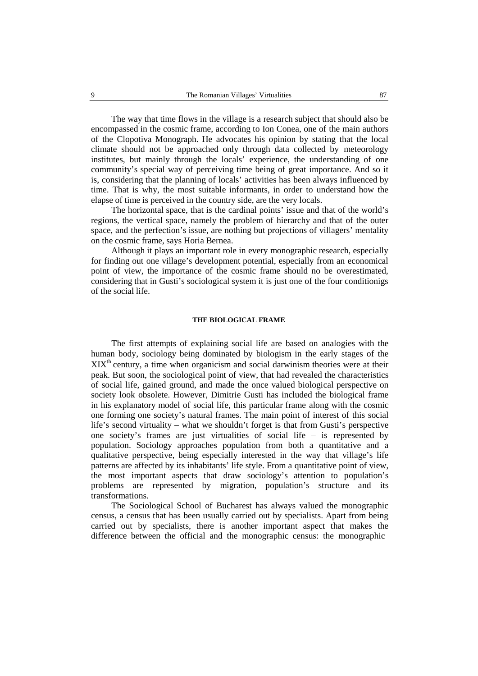The way that time flows in the village is a research subject that should also be encompassed in the cosmic frame, according to Ion Conea, one of the main authors of the Clopotiva Monograph. He advocates his opinion by stating that the local climate should not be approached only through data collected by meteorology institutes, but mainly through the locals' experience, the understanding of one community's special way of perceiving time being of great importance. And so it is, considering that the planning of locals' activities has been always influenced by time. That is why, the most suitable informants, in order to understand how the elapse of time is perceived in the country side, are the very locals.

The horizontal space, that is the cardinal points' issue and that of the world's regions, the vertical space, namely the problem of hierarchy and that of the outer space, and the perfection's issue, are nothing but projections of villagers' mentality on the cosmic frame, says Horia Bernea.

Although it plays an important role in every monographic research, especially for finding out one village's development potential, especially from an economical point of view, the importance of the cosmic frame should no be overestimated, considering that in Gusti's sociological system it is just one of the four conditionigs of the social life.

# **THE BIOLOGICAL FRAME**

The first attempts of explaining social life are based on analogies with the human body, sociology being dominated by biologism in the early stages of the  $XIX<sup>th</sup>$  century, a time when organicism and social darwinism theories were at their peak. But soon, the sociological point of view, that had revealed the characteristics of social life, gained ground, and made the once valued biological perspective on society look obsolete. However, Dimitrie Gusti has included the biological frame in his explanatory model of social life, this particular frame along with the cosmic one forming one society's natural frames. The main point of interest of this social life's second virtuality – what we shouldn't forget is that from Gusti's perspective one society's frames are just virtualities of social life – is represented by population. Sociology approaches population from both a quantitative and a qualitative perspective, being especially interested in the way that village's life patterns are affected by its inhabitants' life style. From a quantitative point of view, the most important aspects that draw sociology's attention to population's problems are represented by migration, population's structure and its transformations.

The Sociological School of Bucharest has always valued the monographic census, a census that has been usually carried outby specialists. Apart from being carried out by specialists, there is another important aspect that makes the difference between the official and the monographic census: the monographic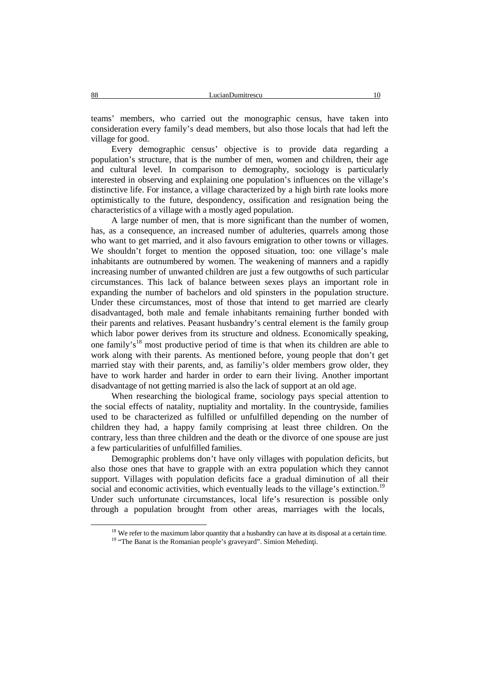teams' members, who carried out the monographic census, have taken into consideration every family's dead members, but also those locals that had left the village for good.

Every demographic census' objective is to provide data regarding a population's structure, that is the number of men, women and children, their age and cultural level. In comparison to demography, sociology is particularly interested in observing and explaining one population's influences on the village's distinctive life. For instance, a village characterized by a high birth rate looks more optimistically to the future, despondency, ossification and resignation being the characteristics of a village with a mostly aged population.

A large number of men, that is more significant than the number of women, has, as a consequence, an increased number of adulteries, quarrels among those who want to get married, and it also favours emigration to other towns or villages. We shouldn't forget to mention the opposed situation, too: one village's male inhabitants are outnumbered by women. The weakening of manners and a rapidly increasing number of unwanted children are just a few outgowths of such particular circumstances. This lack of balance between sexes plays an important role in expanding the number of bachelors and old spinsters in the population structure. Under these circumstances, most of those that intend to get married are clearly disadvantaged, both male and female inhabitants remaining further bonded with their parents and relatives. Peasant husbandry's central element is the family group which labor power derives from its structure and oldness. Economically speaking, one family's<sup>18</sup> most productive period of time is that when its children are able to work along with their parents. As mentioned before, young people that don't get married stay with their parents, and, as familiy's older members grow older, they have to work harder and harder in order to earn their living. Another important disadvantage of not getting married is also the lack of support at an old age.

When researching the biological frame, sociology pays special attention to the social effects of natality, nuptiality and mortality. In the countryside, families used to be characterized as fulfilled or unfulfilled depending on the number of children they had, a happy family comprising at least three children. On the contrary, less than three children and the death or the divorce of one spouse are just a few particularities of unfulfilled families.

Demographic problems don't have only villages with population deficits, but also those ones that have to grapple with an extra population which they cannot support. Villages with population deficits face a gradual diminution of all their social and economic activities, which eventually leads to the village's extinction.<sup>19</sup> Under such unfortunate circumstances, local life's resurection is possible only through a population brought from other areas, marriages with the locals,

<sup>&</sup>lt;sup>18</sup> We refer to the maximum labor quantity that a husbandry can have at its disposal at a certain time. <sup>19</sup> "The Banat is the Romanian people's graveyard". Simion Mehedin i.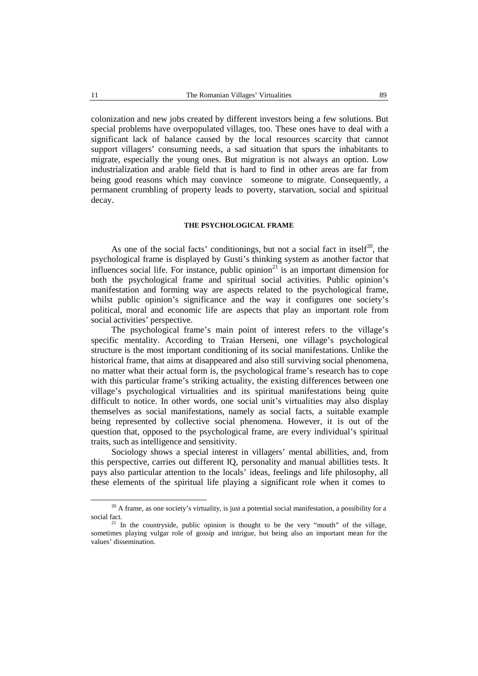colonization and new jobs created by different investors being a few solutions. But special problems have overpopulated villages, too. These ones have to deal with a significant lack of balance caused by the local resources scarcity that cannot support villagers' consuming needs, a sad situation that spurs the inhabitants to migrate, especially the young ones. But migration is not always an option. Low industrialization and arable field that is hard to find in other areas are far from being good reasons which may convince someone to migrate. Consequently, a permanent crumbling of property leads to poverty, starvation, social and spiritual decay.

# **THE PSYCHOLOGICAL FRAME**

As one of the social facts' conditionings, but not a social fact in itself<sup>20</sup>, the psychological frame is displayed by Gusti's thinking system as another factor that influences social life. For instance, public opinion $^{21}$  is an important dimension for both the psychological frame and spiritual social activities. Public opinion's manifestation and forming way are aspects related to the psychological frame, whilst public opinion's significance and the way it configures one society's political, moral and economic life are aspects that play an important role from social activities' perspective.

The psychological frame's main point of interest refers to the village's specific mentality. According to Traian Herseni, one village's psychological structure is the most important conditioning of its social manifestations. Unlike the historical frame, that aims at disappeared and also still surviving social phenomena, no matter what their actual form is, the psychological frame's research has to cope with this particular frame's striking actuality, the existing differences between one village's psychological virtualities and its spiritual manifestations being quite difficult to notice. In other words, one social unit's virtualities may also display themselves as social manifestations, namely as social facts, a suitable example being represented by collective social phenomena. However, it is out of the question that, opposed to the psychological frame, are every individual's spiritual traits, such as intelligence and sensitivity.

Sociology shows a special interest in villagers' mental abillities, and, from this perspective, carries out different IQ, personality and manual abillities tests. It pays also particular attention to the locals' ideas, feelings and life philosophy, all these elements of the spiritual life playing a significant role when it comes to

 $20$  A frame, as one society's virtuality, is just a potential social manifestation, a possibility for a social fact.<br><sup>21</sup> In the countryside, public opinion is thought to be the very "mouth" of the village,

sometimes playing vulgar role of gossip and intrigue, but being also an important mean for the values' dissemination.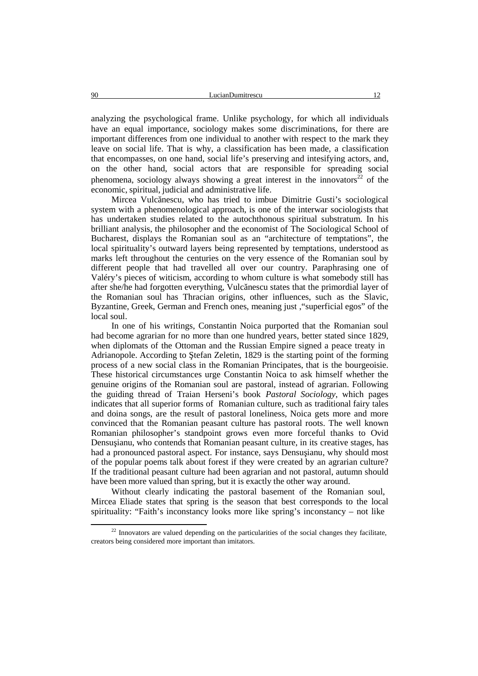90 LucianDumitrescu 12

analyzing the psychological frame. Unlike psychology, for which all individuals have an equal importance, sociology makes some discriminations, for there are important differences from one individual to another with respect to the mark they leave on social life. That is why, a classification has been made, a classification that encompasses, on one hand, social life's preserving and intesifying actors, and, on the other hand, social actors that are responsible for spreading social phenomena, sociology always showing a great interest in the innovators<sup>22</sup> of the economic, spiritual, judicial and administrative life.

Mircea Vulc nescu, who has tried to imbue Dimitrie Gusti's sociological system with a phenomenological approach, is one of the interwar sociologists that has undertaken studies related to the autochthonous spiritual substratum. In his brilliant analysis, the philosopher and the economist of The Sociological School of Bucharest, displays the Romanian soul as an "architecture of temptations", the local spirituality's outward layers being represented by temptations, understood as marks left throughout the centuries on the very essence of the Romanian soul by different people that had travelled all over our country. Paraphrasing one of Valéry's pieces of witicism, according to whom culture is what somebody still has after she/he had forgotten everything, Vulc nescu states that the primordial layer of the Romanian soul has Thracian origins, other influences, such as the Slavic, Byzantine, Greek, German and French ones, meaning just,"superficial egos" of the local soul.

In one of his writings, Constantin Noica purported that the Romanian soul had become agrarian for no more than one hundred years, better stated since 1829, when diplomats of the Ottoman and the Russian Empire signed a peace treaty in Adrianopole. According to tefan Zeletin, 1829 is the starting point of the forming process of a new social class in the Romanian Principates, that is the bourgeoisie. These historical circumstances urge Constantin Noica to ask himself whether the genuine origins of the Romanian soul are pastoral, instead of agrarian. Following the guiding thread of Traian Herseni's book *Pastoral Sociology*, which pages indicates that all superior forms of Romanian culture, such as traditional fairy tales and doina songs, are the result of pastoral loneliness, Noica gets more and more convinced that the Romanian peasant culture has pastoral roots. The well known Romanian philosopher's standpoint grows even more forceful thanks to Ovid Densu ianu, who contends that Romanian peasant culture, in its creative stages, has had a pronounced pastoral aspect. For instance, says Densu janu, why should most of the popular poems talk about forest if they were created by an agrarian culture? If the traditional peasant culture had been agrarian and not pastoral, autumn should have been more valued than spring, but it is exactly the other way around.

Without clearly indicating the pastoral basement of the Romanian soul, Mircea Eliade states that spring is the season that best corresponds to the local spirituality: "Faith's inconstancy looks more like spring's inconstancy – not like

 $22$  Innovators are valued depending on the particularities of the social changes they facilitate. creators being considered more important than imitators.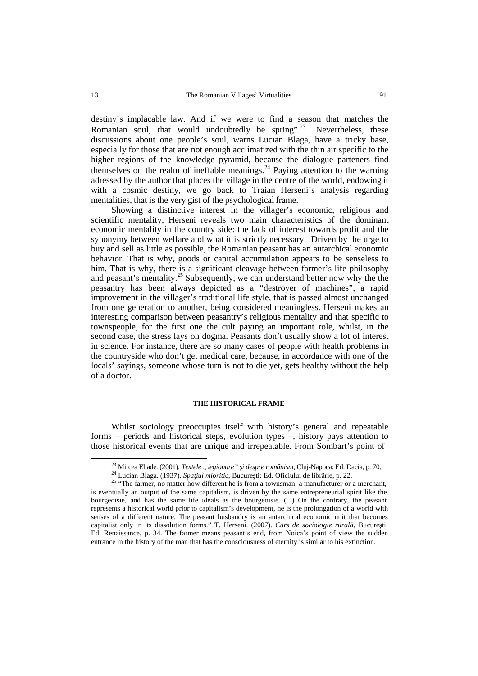destiny's implacable law. And if we were to find a season that matches the Romanian soul, that would undoubtedly be spring".<sup>23</sup> Nevertheless, these discussions about one people's soul, warns Lucian Blaga, have a tricky base, especially for those that are not enough acclimatized with the thin air specific to the higher regions of the knowledge pyramid, because the dialogue parteners find themselves on the realm of ineffable meanings.<sup>24</sup> Paying attention to the warning adressed by the author that places the village in the centre of the world, endowing it with a cosmic destiny, we go back to Traian Herseni's analysis regarding mentalities, that is the very gistof the psychological frame.

Showing a distinctive interest in the villager's economic, religious and scientific mentality, Herseni reveals two main characteristics of the dominant economic mentality in the country side: the lack of interest towards profit and the synonymy between welfare and what it is strictly necessary. Driven by the urge to buy and sell as little as possible, the Romanian peasant has an autarchical economic behavior. That is why, goods or capital accumulation appears to be senseless to him. That is why, there is a significant cleavage between farmer's life philosophy and peasant's mentality.<sup>25</sup> Subsequently, we can understand better now why the the peasantry has been always depicted as a "destroyer of machines", a rapid improvement in the villager's traditional life style, that is passed almost unchanged from one generation to another, being considered meaningless. Herseni makes an interesting comparison between peasantry's religious mentality and that specific to townspeople, for the first one the cult paying an important role, whilst, in the second case, the stress lays on dogma. Peasants don't usually show a lot of interest in science. For instance, there are so many cases of people with health problems in the countryside who don't get medical care, because, in accordance with one of the locals' sayings, someone whose turn is not to die yet, gets healthy without the help of a doctor.

#### **THE HISTORICAL FRAME**

Whilst sociology preoccupies itself with history's general and repeatable forms – periods and historical steps, evolution types –, history pays attention to those historical events that are unique and irrepeatable. From Sombart's point of

<sup>&</sup>lt;sup>23</sup> Mircea Eliade. (2001). *Textele* "*legionare" i despre românism*, Cluj-Napoca: Ed. Dacia, p. 70.<br><sup>24</sup> Lucian Blaga. (1937). *Spa iul mioritic*, Bucure ti: Ed. Oficiului de libr rie, p. 22.<br><sup>25</sup> "The farmer, no matter is eventually an output of the same capitalism, is driven by the same entrepreneurial spirit like the bourgeoisie, and has the same life ideals as the bourgeoisie. (...) On the contrary, the peasant represents a historical world prior to capitalism's development, he is the prolongation of a world with senses of a different nature. The peasant husbandry is an autarchical economic unit that becomes capitalist only in its dissolution forms." T. Herseni. (2007). *Curs de sociologie rural*. Bucure ti: Ed. Renaissance, p. 34. The farmer means peasant's end, from Noica's point of view the sudden entrance in the history of the man that has the consciousness of eternity is similar to his extinction.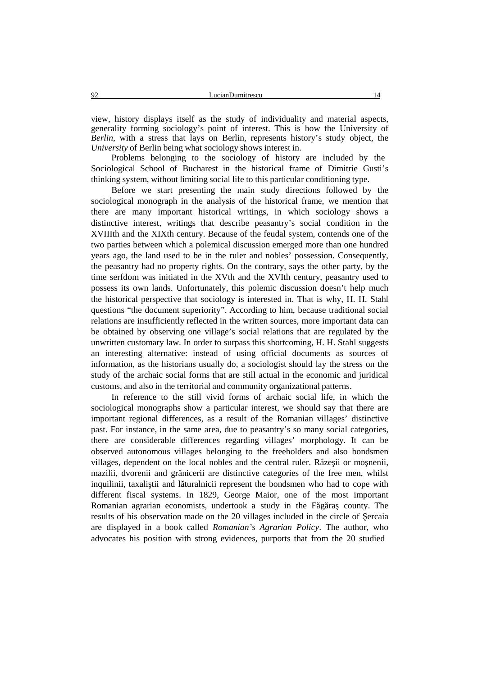view, history displays itself as the study of individuality and material aspects, generality forming sociology's point of interest. This is how the University of *Berlin*, with a stress that lays on Berlin, represents history's study object, the *University* of Berlin being what sociology shows interest in.

Problems belonging to the sociology of history are included by the Sociological School of Bucharest in the historical frame of Dimitrie Gusti's thinking system, without limiting social life to this particular conditioning type.

Before we start presenting the main study directions followed by the sociological monograph in the analysis of the historical frame, we mention that there are many important historical writings, in which sociology shows a distinctive interest, writings that describe peasantry's social condition in the XVIIIth and the XIXth century. Because of the feudal system, contends one of the two parties between which a polemical discussion emerged more than one hundred years ago, the land used to be in the ruler and nobles' possession. Consequently, the peasantry had no property rights. On the contrary, says the other party, by the time serfdom was initiated in the XVth and the XVIth century, peasantry used to possess its own lands. Unfortunately, this polemic discussion doesn't help much the historical perspective that sociology is interested in. That is why, H. H. Stahl questions "the document superiority". According to him, because traditional social relations are insufficiently reflected in the written sources, more important data can be obtained by observing one village's social relations that are regulated by the unwritten customary law. In order to surpass this shortcoming, H. H. Stahl suggests an interesting alternative: instead of using official documents as sources of information, as the historians usually do, a sociologist should lay the stress on the study of the archaic social forms that are still actual in the economic and juridical customs, and also in the territorial and community organizational patterns.

In reference to the still vivid forms of archaic social life, in which the sociological monographs show a particular interest, we should say that there are important regional differences, as a result of the Romanian villages' distinctive past. For instance, in the same area, due to peasantry's so many social categories, there are considerable differences regarding villages' morphology. It can be observed autonomous villages belonging to the freeholders and also bondsmen villages, dependent on the local nobles and the central ruler.  $R$  ze ii or mo nenii, mazilii, dvorenii and gr nicerii are distinctive categories of the free men, whilst inquilinii, taxali tii and l turalnicii represent the bondsmen who had to cope with different fiscal systems. In 1829, George Maior, one of the most important Romanian agrarian economists, undertook a study in the  $F$  g ra county. The results of his observation made on the 20 villages included in the circle of ercaia are displayed in a book called *Romanian's Agrarian Policy*. The author, who advocates his position with strong evidences, purports that from the 20 studied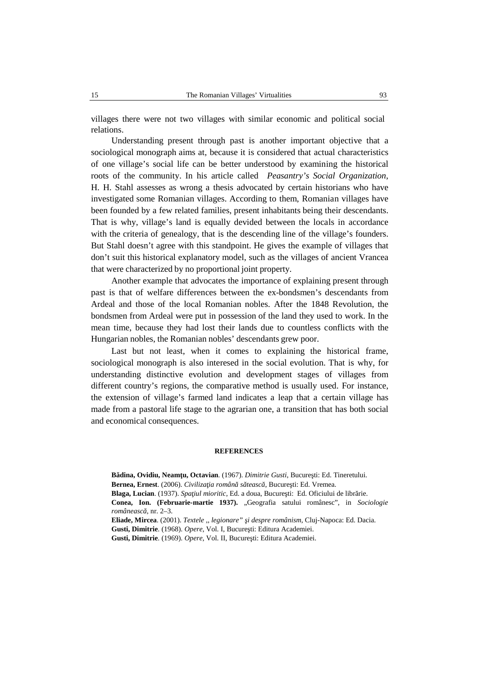villages there were not two villages with similar economic and political social relations.

Understanding present through past is another important objective that a sociological monograph aims at, because it is considered that actual characteristics of one village's social life can be better understood by examining the historical roots of the community. In his article called *Peasantry's Social Organization*, H. H. Stahl assesses as wrong a thesis advocated by certain historians who have investigated some Romanian villages. According to them, Romanian villages have been founded by a few related families, present inhabitants being their descendants. That is why, village's land is equally devided between the locals in accordance with the criteria of genealogy, that is the descending line of the village's founders. But Stahl doesn't agree with this standpoint. He gives the example of villages that don't suit this historical explanatory model, such as the villages of ancient Vrancea that were characterized by no proportional joint property.

Another example that advocates the importance of explaining present through past is that of welfare differences between the ex-bondsmen's descendants from Ardeal and those of the local Romanian nobles. After the 1848 Revolution, the bondsmen from Ardeal were put in possession of the land they used to work. In the mean time, because they had lost their lands due to countless conflicts with the Hungarian nobles, the Romanian nobles' descendants grew poor.

Last but not least, when it comes to explaining the historical frame, sociological monograph is also interesed in the social evolution. That is why, for understanding distinctive evolution and development stages of villages from different country's regions, the comparative method is usually used. For instance, the extension of village's farmed land indicates a leap that a certain village has made from a pastoral life stage to the agrarian one, a transition that has both social and economical consequences.

#### **REFERENCES**

B dina, Ovidiu, Neam u, Octavian. (1967). *Dimitrie Gusti*, Bucure ti: Ed. Tineretului. **Bernea, Ernest**. (2006). *Civiliza ia român* s teasc, Bucure ti: Ed. Vremea. **Blaga, Lucian**. (1937). *Spa iul mioritic*, Ed. a doua, Bucure ti: Ed. Oficiului de libr rie. **Conea, Ion. (Februarie-martie 1937).** "Geografia satului românesc", in *Sociologie româneasc*, nr. 2–3. **Eliade, Mircea**. (2001). *Textele ,, legionare" şi despre românism*, Cluj-Napoca: Ed. Dacia. Gusti, Dimitrie. (1968). *Opere*, Vol. I, Bucure ti: Editura Academiei.

Gusti, Dimitrie. (1969). *Opere*, Vol. II, Bucure ti: Editura Academiei.